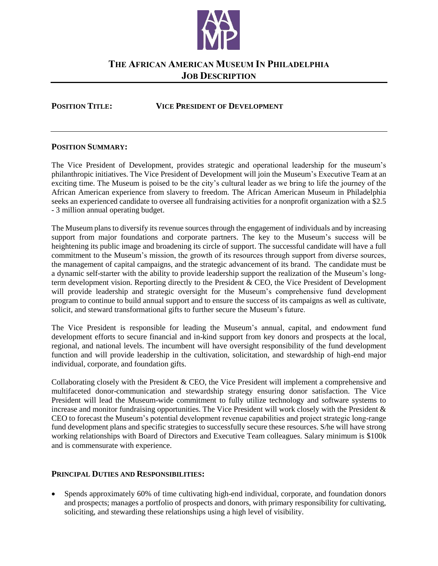

# **THE AFRICAN AMERICAN MUSEUM IN PHILADELPHIA JOB DESCRIPTION**

#### **POSITION TITLE: VICE PRESIDENT OF DEVELOPMENT**

### **POSITION SUMMARY:**

The Vice President of Development, provides strategic and operational leadership for the museum's philanthropic initiatives. The Vice President of Development will join the Museum's Executive Team at an exciting time. The Museum is poised to be the city's cultural leader as we bring to life the journey of the African American experience from slavery to freedom. The African American Museum in Philadelphia seeks an experienced candidate to oversee all fundraising activities for a nonprofit organization with a \$2.5 - 3 million annual operating budget.

The Museum plans to diversify its revenue sources through the engagement of individuals and by increasing support from major foundations and corporate partners. The key to the Museum's success will be heightening its public image and broadening its circle of support. The successful candidate will have a full commitment to the Museum's mission, the growth of its resources through support from diverse sources, the management of capital campaigns, and the strategic advancement of its brand. The candidate must be a dynamic self-starter with the ability to provide leadership support the realization of the Museum's longterm development vision. Reporting directly to the President & CEO, the Vice President of Development will provide leadership and strategic oversight for the Museum's comprehensive fund development program to continue to build annual support and to ensure the success of its campaigns as well as cultivate, solicit, and steward transformational gifts to further secure the Museum's future.

The Vice President is responsible for leading the Museum's annual, capital, and endowment fund development efforts to secure financial and in-kind support from key donors and prospects at the local, regional, and national levels. The incumbent will have oversight responsibility of the fund development function and will provide leadership in the cultivation, solicitation, and stewardship of high-end major individual, corporate, and foundation gifts.

Collaborating closely with the President & CEO, the Vice President will implement a comprehensive and multifaceted donor-communication and stewardship strategy ensuring donor satisfaction. The Vice President will lead the Museum-wide commitment to fully utilize technology and software systems to increase and monitor fundraising opportunities. The Vice President will work closely with the President & CEO to forecast the Museum's potential development revenue capabilities and project strategic long-range fund development plans and specific strategies to successfully secure these resources. S/he will have strong working relationships with Board of Directors and Executive Team colleagues. Salary minimum is \$100k and is commensurate with experience.

## **PRINCIPAL DUTIES AND RESPONSIBILITIES:**

 Spends approximately 60% of time cultivating high-end individual, corporate, and foundation donors and prospects; manages a portfolio of prospects and donors, with primary responsibility for cultivating, soliciting, and stewarding these relationships using a high level of visibility.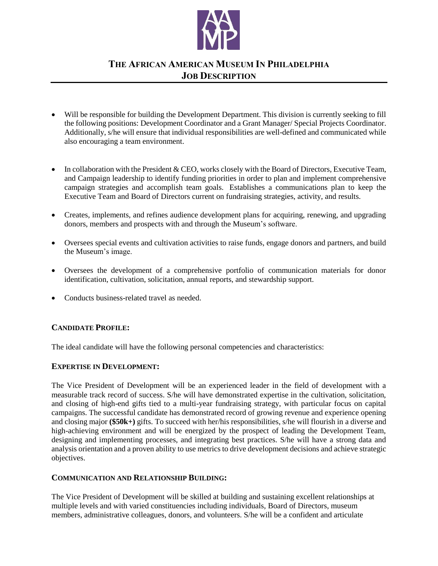

# **THE AFRICAN AMERICAN MUSEUM IN PHILADELPHIA JOB DESCRIPTION**

- Will be responsible for building the Development Department. This division is currently seeking to fill the following positions: Development Coordinator and a Grant Manager/ Special Projects Coordinator. Additionally, s/he will ensure that individual responsibilities are well-defined and communicated while also encouraging a team environment.
- In collaboration with the President & CEO, works closely with the Board of Directors, Executive Team, and Campaign leadership to identify funding priorities in order to plan and implement comprehensive campaign strategies and accomplish team goals. Establishes a communications plan to keep the Executive Team and Board of Directors current on fundraising strategies, activity, and results.
- Creates, implements, and refines audience development plans for acquiring, renewing, and upgrading donors, members and prospects with and through the Museum's software.
- Oversees special events and cultivation activities to raise funds, engage donors and partners, and build the Museum's image.
- Oversees the development of a comprehensive portfolio of communication materials for donor identification, cultivation, solicitation, annual reports, and stewardship support.
- Conducts business-related travel as needed.

## **CANDIDATE PROFILE:**

The ideal candidate will have the following personal competencies and characteristics:

#### **EXPERTISE IN DEVELOPMENT:**

The Vice President of Development will be an experienced leader in the field of development with a measurable track record of success. S/he will have demonstrated expertise in the cultivation, solicitation, and closing of high-end gifts tied to a multi-year fundraising strategy, with particular focus on capital campaigns. The successful candidate has demonstrated record of growing revenue and experience opening and closing major **(\$50k+)** gifts. To succeed with her/his responsibilities, s/he will flourish in a diverse and high-achieving environment and will be energized by the prospect of leading the Development Team, designing and implementing processes, and integrating best practices. S/he will have a strong data and analysis orientation and a proven ability to use metrics to drive development decisions and achieve strategic objectives.

#### **COMMUNICATION AND RELATIONSHIP BUILDING:**

The Vice President of Development will be skilled at building and sustaining excellent relationships at multiple levels and with varied constituencies including individuals, Board of Directors, museum members, administrative colleagues, donors, and volunteers. S/he will be a confident and articulate